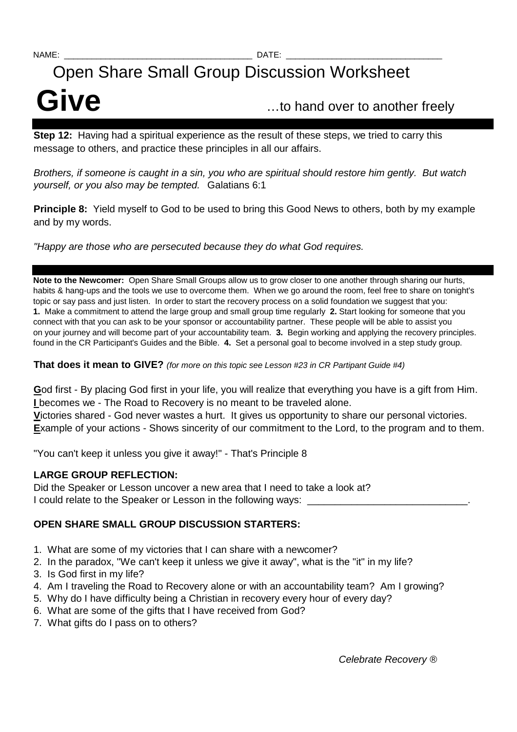## Open Share Small Group Discussion Worksheet

# Give **Give C**ive **C** is the state of the control of the control of the control of  $\mathbf{C}$  is the control of  $\mathbf{C}$  is the control of  $\mathbf{C}$  is the control of  $\mathbf{C}$  is the control of  $\mathbf{C}$  is the control of  $\math$

**Step 12:** Having had a spiritual experience as the result of these steps, we tried to carry this message to others, and practice these principles in all our affairs.

Brothers, if someone is caught in a sin, you who are spiritual should restore him gently. But watch yourself, or you also may be tempted. Galatians 6:1

**Principle 8:** Yield myself to God to be used to bring this Good News to others, both by my example and by my words.

"Happy are those who are persecuted because they do what God requires.

**Note to the Newcomer:** Open Share Small Groups allow us to grow closer to one another through sharing our hurts, habits & hang-ups and the tools we use to overcome them. When we go around the room, feel free to share on tonight's topic or say pass and just listen. In order to start the recovery process on a solid foundation we suggest that you: **1.** Make a commitment to attend the large group and small group time regularly **2.** Start looking for someone that you connect with that you can ask to be your sponsor or accountability partner. These people will be able to assist you on your journey and will become part of your accountability team. **3.** Begin working and applying the recovery principles. found in the CR Participant's Guides and the Bible. **4.** Set a personal goal to become involved in a step study group.

**That does it mean to GIVE?** (for more on this topic see Lesson #23 in CR Partipant Guide #4)

**G**od first - By placing God first in your life, you will realize that everything you have is a gift from Him. **I** becomes we - The Road to Recovery is no meant to be traveled alone.

**V**ictories shared - God never wastes a hurt. It gives us opportunity to share our personal victories. **Example of your actions - Shows sincerity of our commitment to the Lord, to the program and to them.** 

"You can't keep it unless you give it away!" - That's Principle 8

#### **LARGE GROUP REFLECTION:**

Did the Speaker or Lesson uncover a new area that I need to take a look at? I could relate to the Speaker or Lesson in the following ways:

### **OPEN SHARE SMALL GROUP DISCUSSION STARTERS:**

- 1. What are some of my victories that I can share with a newcomer?
- 2. In the paradox, "We can't keep it unless we give it away", what is the "it" in my life?
- 3. Is God first in my life?
- 4. Am I traveling the Road to Recovery alone or with an accountability team? Am I growing?
- 5. Why do I have difficulty being a Christian in recovery every hour of every day?
- 6. What are some of the gifts that I have received from God?
- 7. What gifts do I pass on to others?